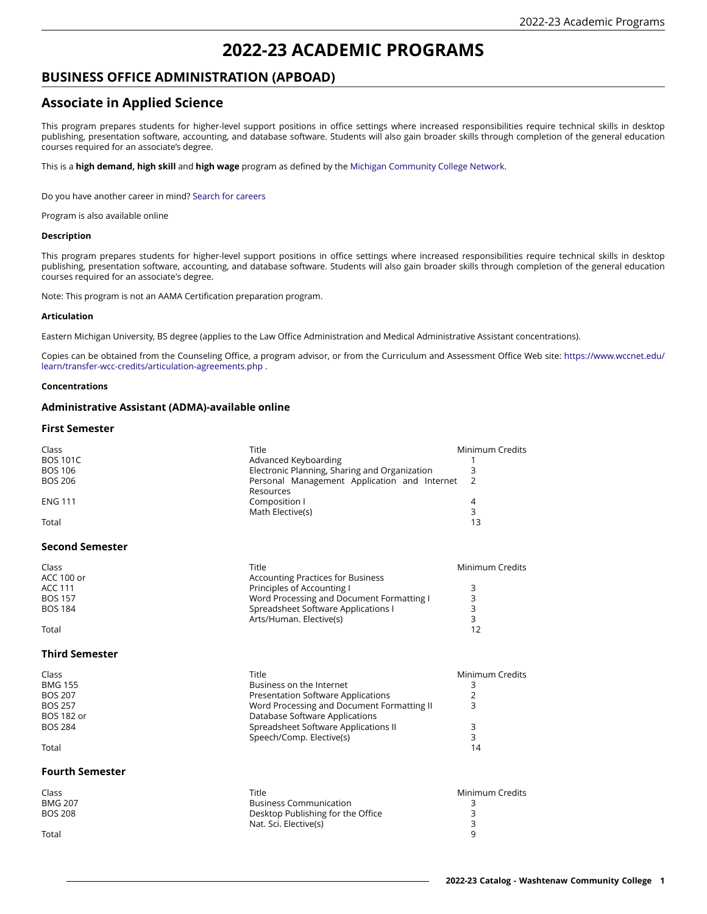# **2022-23 ACADEMIC PROGRAMS**

## **BUSINESS OFFICE ADMINISTRATION (APBOAD)**

## **Associate in Applied Science**

This program prepares students for higher-level support positions in office settings where increased responsibilities require technical skills in desktop publishing, presentation software, accounting, and database software. Students will also gain broader skills through completion of the general education courses required for an associate's degree.

This is a **high demand, high skill** and **high wage** program as defined by the [Michigan Community College Network.](https://michigancc.net)

Do you have another career in mind? Search for [careers](https://wccnet.emsicc.com/?region=Michigan)

Program is also available online

#### **Description**

This program prepares students for higher-level support positions in office settings where increased responsibilities require technical skills in desktop publishing, presentation software, accounting, and database software. Students will also gain broader skills through completion of the general education courses required for an associate's degree.

Note: This program is not an AAMA Certification preparation program.

#### **Articulation**

Eastern Michigan University, BS degree (applies to the Law Office Administration and Medical Administrative Assistant concentrations).

Copies can be obtained from the Counseling Office, a program advisor, or from the Curriculum and Assessment Office Web site: [https://www.wccnet.edu/](https://www.wccnet.edu/learn/transfer-wcc-credits/articulation-agreements.php) [learn/transfer-wcc-credits/articulation-agreements.php](https://www.wccnet.edu/learn/transfer-wcc-credits/articulation-agreements.php) .

#### **Concentrations**

## **Administrative Assistant (ADMA)-available online**

#### **First Semester**

| Class                                              | Title                                                                                                | Minimum Credits                     |
|----------------------------------------------------|------------------------------------------------------------------------------------------------------|-------------------------------------|
| <b>BOS 101C</b>                                    | Advanced Keyboarding                                                                                 | 1                                   |
| <b>BOS 106</b>                                     | Electronic Planning, Sharing and Organization                                                        | 3                                   |
| <b>BOS 206</b>                                     | Personal Management Application and Internet                                                         | $\overline{2}$                      |
| <b>ENG 111</b>                                     | Resources                                                                                            | $\overline{4}$                      |
| Total                                              | Composition I                                                                                        | 3                                   |
| <b>Second Semester</b>                             | Math Elective(s)                                                                                     | 13                                  |
| Class                                              | Title                                                                                                | Minimum Credits                     |
| <b>ACC 100 or</b>                                  | <b>Accounting Practices for Business</b>                                                             | 3                                   |
| <b>ACC 111</b>                                     | Principles of Accounting I                                                                           | 3                                   |
| <b>BOS 157</b>                                     | Word Processing and Document Formatting I                                                            | 3                                   |
| <b>BOS 184</b>                                     | Spreadsheet Software Applications I                                                                  | 3                                   |
| Total                                              | Arts/Human. Elective(s)                                                                              | 12                                  |
| <b>Third Semester</b>                              |                                                                                                      |                                     |
| Class                                              | Title                                                                                                | Minimum Credits                     |
| <b>BMG 155</b>                                     | Business on the Internet                                                                             | 3                                   |
| <b>BOS 207</b>                                     | Presentation Software Applications                                                                   | 2                                   |
| <b>BOS 257</b>                                     | Word Processing and Document Formatting II                                                           | 3                                   |
| <b>BOS 182 or</b>                                  | Database Software Applications                                                                       | 3                                   |
| <b>BOS 284</b>                                     | Spreadsheet Software Applications II                                                                 | 3                                   |
| Total                                              | Speech/Comp. Elective(s)                                                                             | 14                                  |
| <b>Fourth Semester</b>                             |                                                                                                      |                                     |
| Class<br><b>BMG 207</b><br><b>BOS 208</b><br>Total | Title<br><b>Business Communication</b><br>Desktop Publishing for the Office<br>Nat. Sci. Elective(s) | Minimum Credits<br>3<br>3<br>3<br>q |

Total 9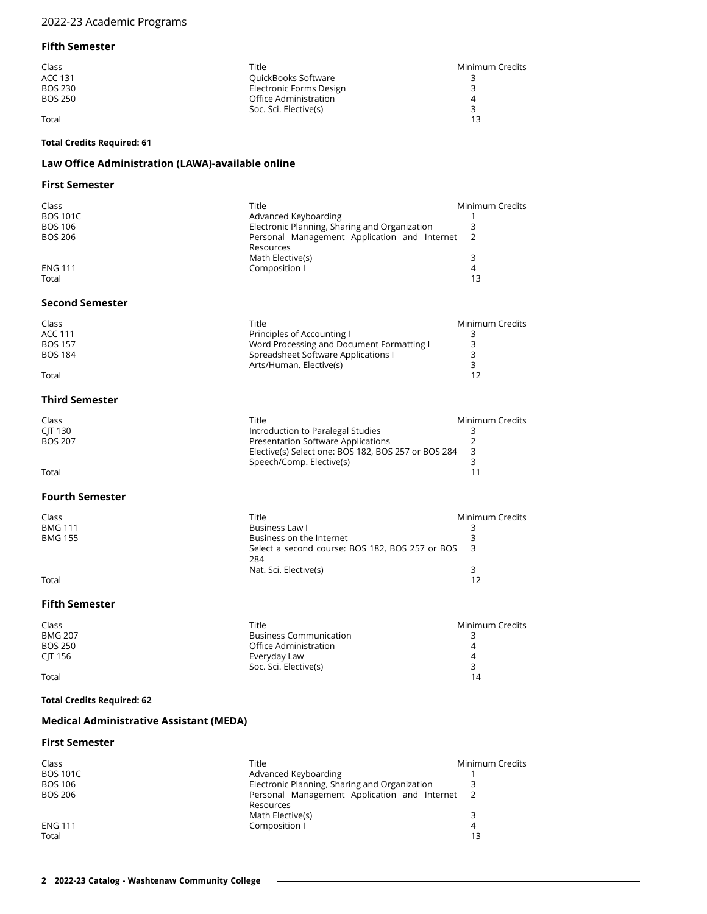## **Fifth Semester**

| Class          | Title                   | Minimum Credits |
|----------------|-------------------------|-----------------|
| <b>ACC 131</b> | QuickBooks Software     |                 |
| <b>BOS 230</b> | Electronic Forms Design |                 |
| BOS 250        | Office Administration   |                 |
|                | Soc. Sci. Elective(s)   |                 |
| Total          |                         |                 |

#### **Total Credits Required: 61**

## **Law Office Administration (LAWA)-available online**

## **First Semester**

| Class           | Title                                         | Minimum Credits |
|-----------------|-----------------------------------------------|-----------------|
| <b>BOS 101C</b> | Advanced Keyboarding                          |                 |
| <b>BOS 106</b>  | Electronic Planning, Sharing and Organization |                 |
| <b>BOS 206</b>  | Personal Management Application and Internet  |                 |
|                 | Resources                                     |                 |
|                 | Math Elective(s)                              | 3               |
| <b>ENG 111</b>  | Composition I                                 | 4               |
| Total           |                                               | 13              |

#### **Second Semester**

| Class   | Title                                     | Minimum Credits |
|---------|-------------------------------------------|-----------------|
| ACC 111 | Principles of Accounting I                |                 |
| BOS 157 | Word Processing and Document Formatting I |                 |
| BOS 184 | Spreadsheet Software Applications I       |                 |
|         | Arts/Human, Elective(s)                   |                 |

Total 12

## **Third Semester**

| Class          | Title                                               | Minimum Credits |
|----------------|-----------------------------------------------------|-----------------|
| CIT 130        | Introduction to Paralegal Studies                   |                 |
| <b>BOS 207</b> | Presentation Software Applications                  |                 |
|                | Elective(s) Select one: BOS 182, BOS 257 or BOS 284 |                 |
|                | Speech/Comp. Elective(s)                            |                 |
| Total          |                                                     |                 |

## **Fourth Semester**

| Class          | Title                                             | Minimum Credits |
|----------------|---------------------------------------------------|-----------------|
| <b>BMG 111</b> | Business Law l                                    |                 |
| BMG 155        | Business on the Internet                          |                 |
|                | Select a second course: BOS 182, BOS 257 or BOS 3 |                 |
|                | 284                                               |                 |
|                | Nat. Sci. Elective(s)                             |                 |

Total 12

## **Fifth Semester**

| Class          | Title                         | Minimum Credits |
|----------------|-------------------------------|-----------------|
| <b>BMG 207</b> | <b>Business Communication</b> |                 |
| <b>BOS 250</b> | Office Administration         | 4               |
| CIT 156        | Everyday Law                  | 4               |
|                | Soc. Sci. Elective(s)         |                 |
| Total          |                               | 14              |

## **Total Credits Required: 62**

## **Medical Administrative Assistant (MEDA)**

## **First Semester**

| Class           | Title                                         | Minimum Credits |
|-----------------|-----------------------------------------------|-----------------|
| <b>BOS 101C</b> | Advanced Keyboarding                          |                 |
| BOS 106         | Electronic Planning, Sharing and Organization |                 |
| <b>BOS 206</b>  | Personal Management Application and Internet  |                 |
|                 | Resources                                     |                 |
|                 | Math Elective(s)                              |                 |
| <b>ENG 111</b>  | Composition I                                 | 4               |
| Total           |                                               | 13              |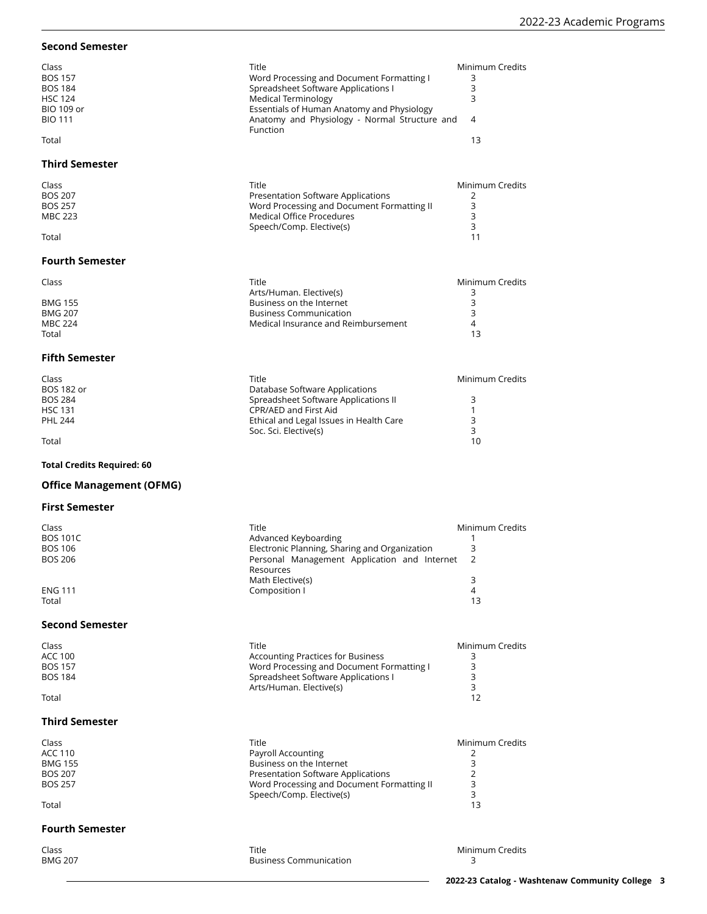## **Second Semester**

| Class          | Title                                         | Minimum Credits |
|----------------|-----------------------------------------------|-----------------|
| <b>BOS 157</b> | Word Processing and Document Formatting I     |                 |
| <b>BOS 184</b> | Spreadsheet Software Applications I           |                 |
| <b>HSC 124</b> | Medical Terminology                           |                 |
| BIO 109 or     | Essentials of Human Anatomy and Physiology    |                 |
| <b>BIO 111</b> | Anatomy and Physiology - Normal Structure and | -4              |
|                | <b>Function</b>                               |                 |
| Total          |                                               | 13              |

## **Third Semester**

| Class          | Title                                      | Minimum Credits |
|----------------|--------------------------------------------|-----------------|
| <b>BOS 207</b> | Presentation Software Applications         |                 |
| <b>BOS 257</b> | Word Processing and Document Formatting II |                 |
| MBC 223        | Medical Office Procedures                  |                 |
|                | Speech/Comp. Elective(s)                   |                 |

#### Total 11

## **Fourth Semester**

| Class   | Title                               | Minimum Credits |
|---------|-------------------------------------|-----------------|
|         | Arts/Human. Elective(s)             |                 |
| BMG 155 | Business on the Internet            |                 |
| BMG 207 | <b>Business Communication</b>       |                 |
| MBC 224 | Medical Insurance and Reimbursement |                 |
| Total   |                                     |                 |

#### **Fifth Semester**

| Class             | Title                                   | Minimum Credits |
|-------------------|-----------------------------------------|-----------------|
| <b>BOS 182 or</b> | Database Software Applications          |                 |
| <b>BOS 284</b>    | Spreadsheet Software Applications II    |                 |
| <b>HSC 131</b>    | CPR/AED and First Aid                   |                 |
| <b>PHL 244</b>    | Ethical and Legal Issues in Health Care |                 |
|                   | Soc. Sci. Elective(s)                   |                 |
| Total             |                                         | 10              |

## **Total Credits Required: 60**

## **Office Management (OFMG)**

## **First Semester**

| Class           | Title                                         | Minimum Credits |
|-----------------|-----------------------------------------------|-----------------|
| <b>BOS 101C</b> | Advanced Keyboarding                          |                 |
| BOS 106         | Electronic Planning, Sharing and Organization |                 |
| BOS 206         | Personal Management Application and Internet  |                 |
|                 | Resources                                     |                 |
|                 | Math Elective(s)                              |                 |
| <b>ENG 111</b>  | Composition I                                 |                 |
|                 |                                               |                 |

Total 13

#### **Second Semester**

| Class   | Title                                     | Minimum Credits |
|---------|-------------------------------------------|-----------------|
| ACC 100 | <b>Accounting Practices for Business</b>  |                 |
| BOS 157 | Word Processing and Document Formatting I |                 |
| BOS 184 | Spreadsheet Software Applications I       |                 |
|         | Arts/Human. Elective(s)                   |                 |
| Total   |                                           |                 |

## **Third Semester**

| Class          | Title                                      | Minimum Credits |
|----------------|--------------------------------------------|-----------------|
| ACC 110        | Payroll Accounting                         |                 |
| BMG 155        | Business on the Internet                   |                 |
| BOS 207        | <b>Presentation Software Applications</b>  |                 |
| <b>BOS 257</b> | Word Processing and Document Formatting II |                 |
|                | Speech/Comp. Elective(s)                   |                 |
| Total          |                                            | 13              |

#### **Fourth Semester**

| Class          | <b>Title</b>                  | Minimum Credits |
|----------------|-------------------------------|-----------------|
| <b>BMG 207</b> | <b>Business Communication</b> |                 |
|                |                               |                 |